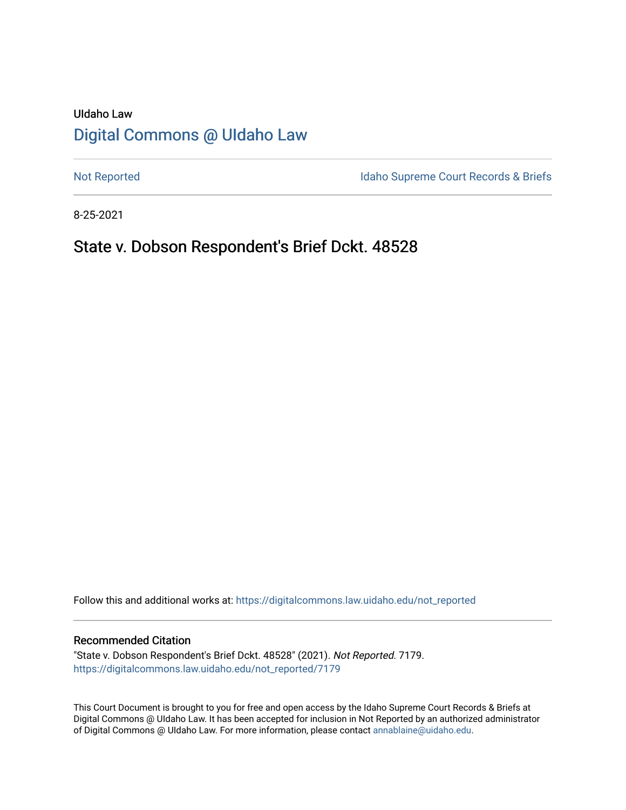# UIdaho Law [Digital Commons @ UIdaho Law](https://digitalcommons.law.uidaho.edu/)

[Not Reported](https://digitalcommons.law.uidaho.edu/not_reported) **Idaho Supreme Court Records & Briefs** 

8-25-2021

## State v. Dobson Respondent's Brief Dckt. 48528

Follow this and additional works at: [https://digitalcommons.law.uidaho.edu/not\\_reported](https://digitalcommons.law.uidaho.edu/not_reported?utm_source=digitalcommons.law.uidaho.edu%2Fnot_reported%2F7179&utm_medium=PDF&utm_campaign=PDFCoverPages) 

#### Recommended Citation

"State v. Dobson Respondent's Brief Dckt. 48528" (2021). Not Reported. 7179. [https://digitalcommons.law.uidaho.edu/not\\_reported/7179](https://digitalcommons.law.uidaho.edu/not_reported/7179?utm_source=digitalcommons.law.uidaho.edu%2Fnot_reported%2F7179&utm_medium=PDF&utm_campaign=PDFCoverPages)

This Court Document is brought to you for free and open access by the Idaho Supreme Court Records & Briefs at Digital Commons @ UIdaho Law. It has been accepted for inclusion in Not Reported by an authorized administrator of Digital Commons @ UIdaho Law. For more information, please contact [annablaine@uidaho.edu](mailto:annablaine@uidaho.edu).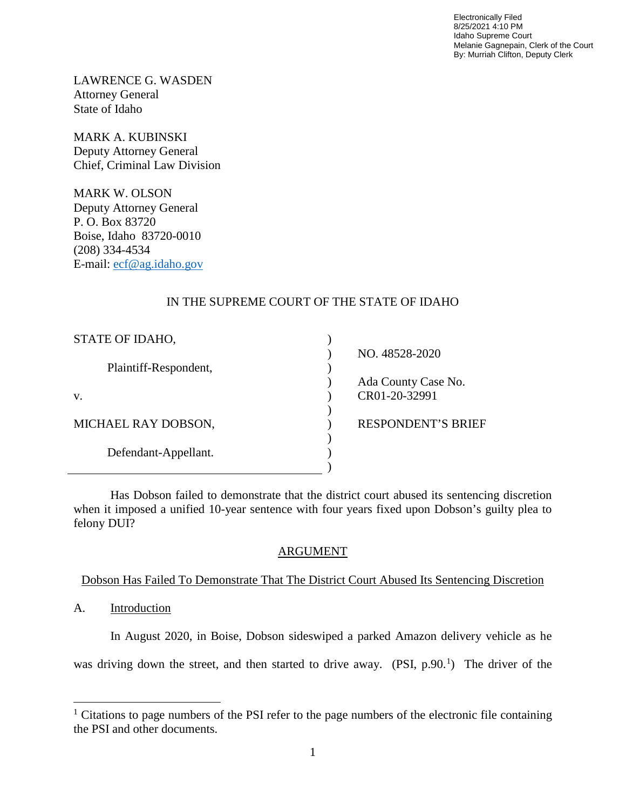Electronically Filed 8/25/2021 4:10 PM Idaho Supreme Court Melanie Gagnepain, Clerk of the Court By: Murriah Clifton, Deputy Clerk

LAWRENCE G. WASDEN Attorney General State of Idaho

MARK A. KUBINSKI Deputy Attorney General Chief, Criminal Law Division

MARK W. OLSON Deputy Attorney General P. O. Box 83720 Boise, Idaho 83720-0010 (208) 334-4534 E-mail: [ecf@ag.idaho.gov](mailto:ecf@ag.idaho.gov)

## IN THE SUPREME COURT OF THE STATE OF IDAHO

| STATE OF IDAHO,       |                           |
|-----------------------|---------------------------|
|                       | NO. 48528-2020            |
| Plaintiff-Respondent, |                           |
|                       | Ada County Case No.       |
| V.                    | CR01-20-32991             |
|                       |                           |
| MICHAEL RAY DOBSON,   | <b>RESPONDENT'S BRIEF</b> |
|                       |                           |
| Defendant-Appellant.  |                           |
|                       |                           |

Has Dobson failed to demonstrate that the district court abused its sentencing discretion when it imposed a unified 10-year sentence with four years fixed upon Dobson's guilty plea to felony DUI?

## ARGUMENT

## Dobson Has Failed To Demonstrate That The District Court Abused Its Sentencing Discretion

A. Introduction

 $\overline{a}$ 

In August 2020, in Boise, Dobson sideswiped a parked Amazon delivery vehicle as he

was driving down the street, and then started to drive away.  $(PSI, p.90<sup>1</sup>)$  $(PSI, p.90<sup>1</sup>)$  $(PSI, p.90<sup>1</sup>)$  The driver of the

<span id="page-1-0"></span> $1$  Citations to page numbers of the PSI refer to the page numbers of the electronic file containing the PSI and other documents.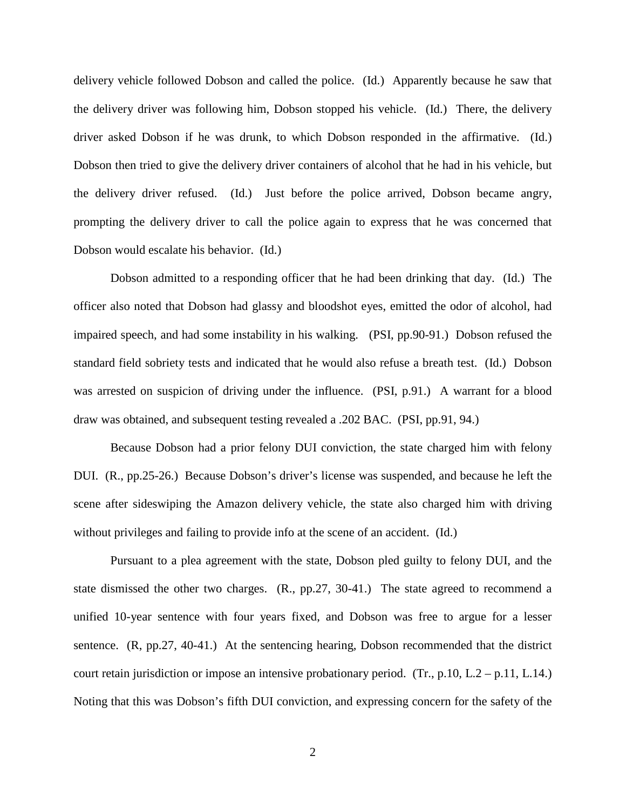delivery vehicle followed Dobson and called the police. (Id.) Apparently because he saw that the delivery driver was following him, Dobson stopped his vehicle. (Id.) There, the delivery driver asked Dobson if he was drunk, to which Dobson responded in the affirmative. (Id.) Dobson then tried to give the delivery driver containers of alcohol that he had in his vehicle, but the delivery driver refused. (Id.) Just before the police arrived, Dobson became angry, prompting the delivery driver to call the police again to express that he was concerned that Dobson would escalate his behavior. (Id.)

Dobson admitted to a responding officer that he had been drinking that day. (Id.) The officer also noted that Dobson had glassy and bloodshot eyes, emitted the odor of alcohol, had impaired speech, and had some instability in his walking. (PSI, pp.90-91.) Dobson refused the standard field sobriety tests and indicated that he would also refuse a breath test. (Id.) Dobson was arrested on suspicion of driving under the influence. (PSI, p.91.) A warrant for a blood draw was obtained, and subsequent testing revealed a .202 BAC. (PSI, pp.91, 94.)

Because Dobson had a prior felony DUI conviction, the state charged him with felony DUI. (R., pp.25-26.) Because Dobson's driver's license was suspended, and because he left the scene after sideswiping the Amazon delivery vehicle, the state also charged him with driving without privileges and failing to provide info at the scene of an accident. (Id.)

 Pursuant to a plea agreement with the state, Dobson pled guilty to felony DUI, and the state dismissed the other two charges. (R., pp.27, 30-41.) The state agreed to recommend a unified 10-year sentence with four years fixed, and Dobson was free to argue for a lesser sentence. (R, pp.27, 40-41.) At the sentencing hearing, Dobson recommended that the district court retain jurisdiction or impose an intensive probationary period. (Tr., p.10, L.2 – p.11, L.14.) Noting that this was Dobson's fifth DUI conviction, and expressing concern for the safety of the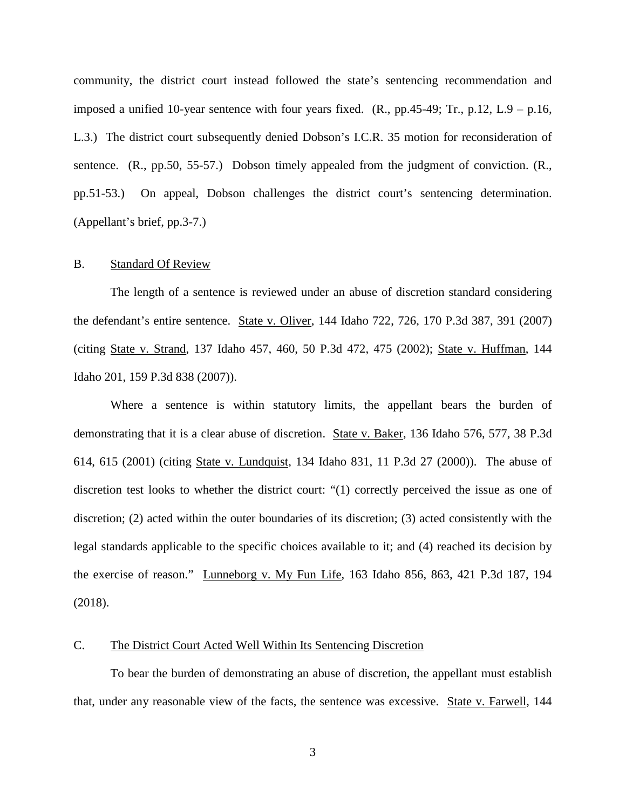community, the district court instead followed the state's sentencing recommendation and imposed a unified 10-year sentence with four years fixed.  $(R., pp.45-49; Tr., p.12, L.9 - p.16,$ L.3.) The district court subsequently denied Dobson's I.C.R. 35 motion for reconsideration of sentence. (R., pp.50, 55-57.) Dobson timely appealed from the judgment of conviction. (R., pp.51-53.) On appeal, Dobson challenges the district court's sentencing determination. (Appellant's brief, pp.3-7.)

#### B. Standard Of Review

The length of a sentence is reviewed under an abuse of discretion standard considering the defendant's entire sentence. State v. Oliver, 144 Idaho 722, 726, 170 P.3d 387, 391 (2007) (citing State v. Strand, 137 Idaho 457, 460, 50 P.3d 472, 475 (2002); State v. Huffman, 144 Idaho 201, 159 P.3d 838 (2007)).

Where a sentence is within statutory limits, the appellant bears the burden of demonstrating that it is a clear abuse of discretion. State v. Baker, 136 Idaho 576, 577, 38 P.3d 614, 615 (2001) (citing State v. Lundquist, 134 Idaho 831, 11 P.3d 27 (2000)). The abuse of discretion test looks to whether the district court: "(1) correctly perceived the issue as one of discretion; (2) acted within the outer boundaries of its discretion; (3) acted consistently with the legal standards applicable to the specific choices available to it; and (4) reached its decision by the exercise of reason." Lunneborg v. My Fun Life, 163 Idaho 856, 863, 421 P.3d 187, 194 (2018).

#### C. The District Court Acted Well Within Its Sentencing Discretion

To bear the burden of demonstrating an abuse of discretion, the appellant must establish that, under any reasonable view of the facts, the sentence was excessive. State v. Farwell, 144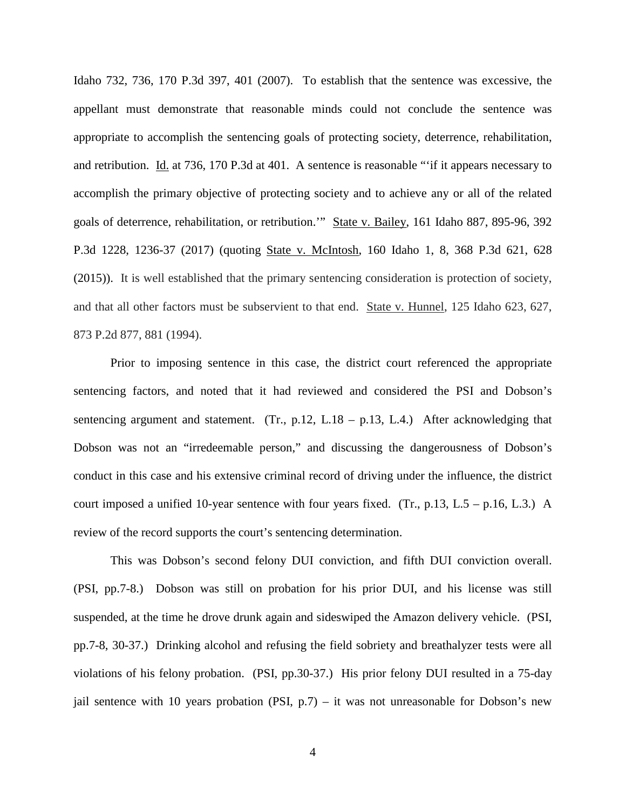Idaho 732, 736, 170 P.3d 397, 401 (2007). To establish that the sentence was excessive, the appellant must demonstrate that reasonable minds could not conclude the sentence was appropriate to accomplish the sentencing goals of protecting society, deterrence, rehabilitation, and retribution. Id. at 736, 170 P.3d at 401. A sentence is reasonable "'if it appears necessary to accomplish the primary objective of protecting society and to achieve any or all of the related goals of deterrence, rehabilitation, or retribution.'" State v. Bailey, 161 Idaho 887, 895-96, 392 P.3d 1228, 1236-37 (2017) (quoting State v. McIntosh, 160 Idaho 1, 8, 368 P.3d 621, 628 (2015)). It is well established that the primary sentencing consideration is protection of society, and that all other factors must be subservient to that end. State v. Hunnel, 125 Idaho 623, 627, 873 P.2d 877, 881 (1994).

Prior to imposing sentence in this case, the district court referenced the appropriate sentencing factors, and noted that it had reviewed and considered the PSI and Dobson's sentencing argument and statement. (Tr., p.12, L.18 – p.13, L.4.) After acknowledging that Dobson was not an "irredeemable person," and discussing the dangerousness of Dobson's conduct in this case and his extensive criminal record of driving under the influence, the district court imposed a unified 10-year sentence with four years fixed. (Tr., p.13, L.5 – p.16, L.3.) A review of the record supports the court's sentencing determination.

This was Dobson's second felony DUI conviction, and fifth DUI conviction overall. (PSI, pp.7-8.) Dobson was still on probation for his prior DUI, and his license was still suspended, at the time he drove drunk again and sideswiped the Amazon delivery vehicle. (PSI, pp.7-8, 30-37.) Drinking alcohol and refusing the field sobriety and breathalyzer tests were all violations of his felony probation. (PSI, pp.30-37.) His prior felony DUI resulted in a 75-day jail sentence with 10 years probation (PSI,  $p.7$ ) – it was not unreasonable for Dobson's new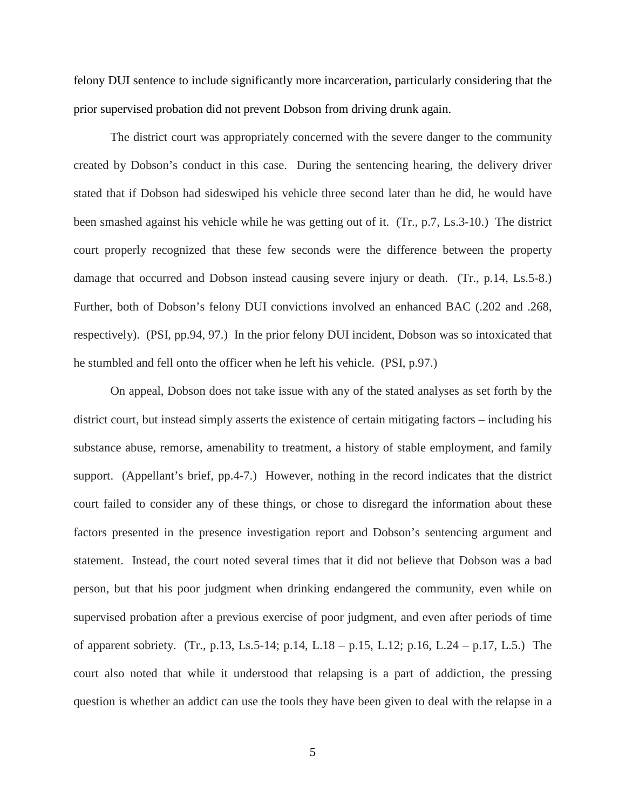felony DUI sentence to include significantly more incarceration, particularly considering that the prior supervised probation did not prevent Dobson from driving drunk again.

The district court was appropriately concerned with the severe danger to the community created by Dobson's conduct in this case. During the sentencing hearing, the delivery driver stated that if Dobson had sideswiped his vehicle three second later than he did, he would have been smashed against his vehicle while he was getting out of it. (Tr., p.7, Ls.3-10.) The district court properly recognized that these few seconds were the difference between the property damage that occurred and Dobson instead causing severe injury or death. (Tr., p.14, Ls.5-8.) Further, both of Dobson's felony DUI convictions involved an enhanced BAC (.202 and .268, respectively). (PSI, pp.94, 97.) In the prior felony DUI incident, Dobson was so intoxicated that he stumbled and fell onto the officer when he left his vehicle. (PSI, p.97.)

On appeal, Dobson does not take issue with any of the stated analyses as set forth by the district court, but instead simply asserts the existence of certain mitigating factors – including his substance abuse, remorse, amenability to treatment, a history of stable employment, and family support. (Appellant's brief, pp.4-7.) However, nothing in the record indicates that the district court failed to consider any of these things, or chose to disregard the information about these factors presented in the presence investigation report and Dobson's sentencing argument and statement. Instead, the court noted several times that it did not believe that Dobson was a bad person, but that his poor judgment when drinking endangered the community, even while on supervised probation after a previous exercise of poor judgment, and even after periods of time of apparent sobriety. (Tr., p.13, Ls.5-14; p.14, L.18 – p.15, L.12; p.16, L.24 – p.17, L.5.) The court also noted that while it understood that relapsing is a part of addiction, the pressing question is whether an addict can use the tools they have been given to deal with the relapse in a